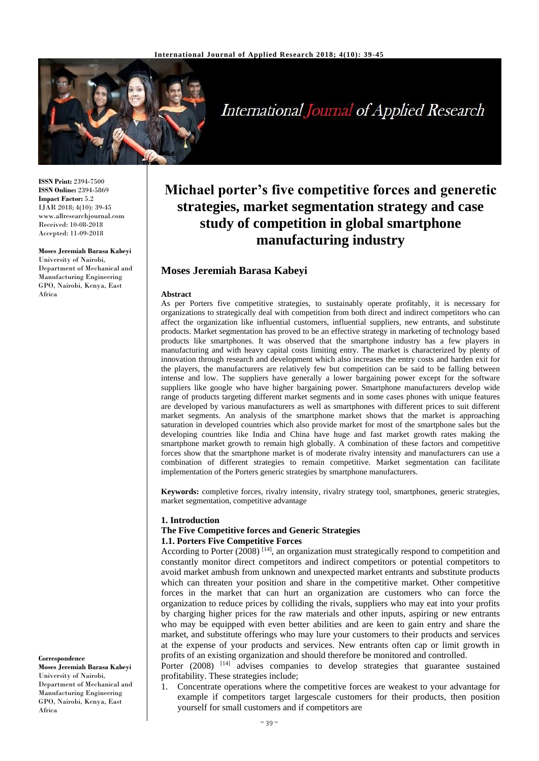

# **International Journal of Applied Research**

**ISSN Print:** 2394-7500 **ISSN Online:** 2394-5869 **Impact Factor:** 5.2 IJAR 2018; 4(10): 39-45 www.allresearchjournal.com Received: 10-08-2018 Accepted: 11-09-2018

#### **Moses Jeremiah Barasa Kabeyi**

University of Nairobi, Department of Mechanical and Manufacturing Engineering GPO, Nairobi, Kenya, East Africa

## **Michael porter's five competitive forces and generetic strategies, market segmentation strategy and case study of competition in global smartphone manufacturing industry**

### **Moses Jeremiah Barasa Kabeyi**

#### **Abstract**

As per Porters five competitive strategies, to sustainably operate profitably, it is necessary for organizations to strategically deal with competition from both direct and indirect competitors who can affect the organization like influential customers, influential suppliers, new entrants, and substitute products. Market segmentation has proved to be an effective strategy in marketing of technology based products like smartphones. It was observed that the smartphone industry has a few players in manufacturing and with heavy capital costs limiting entry. The market is characterized by plenty of innovation through research and development which also increases the entry costs and harden exit for the players, the manufacturers are relatively few but competition can be said to be falling between intense and low. The suppliers have generally a lower bargaining power except for the software suppliers like google who have higher bargaining power. Smartphone manufacturers develop wide range of products targeting different market segments and in some cases phones with unique features are developed by various manufacturers as well as smartphones with different prices to suit different market segments. An analysis of the smartphone market shows that the market is approaching saturation in developed countries which also provide market for most of the smartphone sales but the developing countries like India and China have huge and fast market growth rates making the smartphone market growth to remain high globally. A combination of these factors and competitive forces show that the smartphone market is of moderate rivalry intensity and manufacturers can use a combination of different strategies to remain competitive. Market segmentation can facilitate implementation of the Porters generic strategies by smartphone manufacturers.

**Keywords:** completive forces, rivalry intensity, rivalry strategy tool, smartphones, generic strategies, market segmentation, competitive advantage

#### **1. Introduction**

#### **The Five Competitive forces and Generic Strategies 1.1. Porters Five Competitive Forces**

According to Porter (2008)<sup>[14]</sup>, an organization must strategically respond to competition and constantly monitor direct competitors and indirect competitors or potential competitors to avoid market ambush from unknown and unexpected market entrants and substitute products which can threaten your position and share in the competitive market. Other competitive forces in the market that can hurt an organization are customers who can force the organization to reduce prices by colliding the rivals, suppliers who may eat into your profits by charging higher prices for the raw materials and other inputs, aspiring or new entrants who may be equipped with even better abilities and are keen to gain entry and share the market, and substitute offerings who may lure your customers to their products and services at the expense of your products and services. New entrants often cap or limit growth in profits of an existing organization and should therefore be monitored and controlled.

Porter (2008)<sup>[14]</sup> advises companies to develop strategies that guarantee sustained profitability. These strategies include;

1. Concentrate operations where the competitive forces are weakest to your advantage for example if competitors target largescale customers for their products, then position yourself for small customers and if competitors are

#### **Correspondence**

**Moses Jeremiah Barasa Kabeyi** University of Nairobi, Department of Mechanical and Manufacturing Engineering GPO, Nairobi, Kenya, East Africa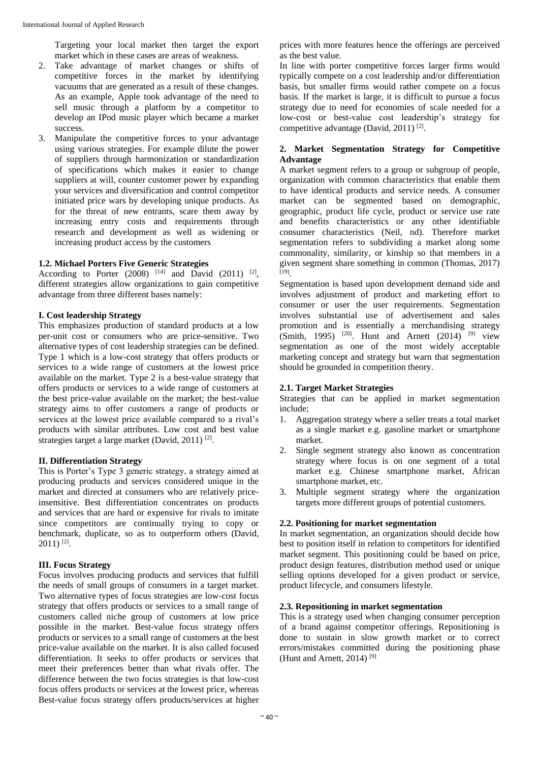Targeting your local market then target the export market which in these cases are areas of weakness.

- 2. Take advantage of market changes or shifts of competitive forces in the market by identifying vacuums that are generated as a result of these changes. As an example, Apple took advantage of the need to sell music through a platform by a competitor to develop an IPod music player which became a market success.
- 3. Manipulate the competitive forces to your advantage using various strategies. For example dilute the power of suppliers through harmonization or standardization of specifications which makes it easier to change suppliers at will, counter customer power by expanding your services and diversification and control competitor initiated price wars by developing unique products. As for the threat of new entrants, scare them away by increasing entry costs and requirements through research and development as well as widening or increasing product access by the customers

## **1.2. Michael Porters Five Generic Strategies**

According to Porter  $(2008)^{[14]}$  and David  $(2011)^{[2]}$ , different strategies allow organizations to gain competitive advantage from three different bases namely:

#### **I. Cost leadership Strategy**

This emphasizes production of standard products at a low per-unit cost or consumers who are price-sensitive. Two alternative types of cost leadership strategies can be defined. Type 1 which is a low-cost strategy that offers products or services to a wide range of customers at the lowest price available on the market. Type 2 is a best-value strategy that offers products or services to a wide range of customers at the best price-value available on the market; the best-value strategy aims to offer customers a range of products or services at the lowest price available compared to a rival's products with similar attributes. Low cost and best value strategies target a large market (David, 2011)<sup>[2]</sup>.

#### **II. Differentiation Strategy**

This is Porter's Type 3 generic strategy, a strategy aimed at producing products and services considered unique in the market and directed at consumers who are relatively priceinsensitive. Best differentiation concentrates on products and services that are hard or expensive for rivals to imitate since competitors are continually trying to copy or benchmark, duplicate, so as to outperform others (David,  $2011$ ) <sup>[2]</sup>.

#### **III. Focus Strategy**

Focus involves producing products and services that fulfill the needs of small groups of consumers in a target market. Two alternative types of focus strategies are low-cost focus strategy that offers products or services to a small range of customers called niche group of customers at low price possible in the market. Best-value focus strategy offers products or services to a small range of customers at the best price-value available on the market. It is also called focused differentiation. It seeks to offer products or services that meet their preferences better than what rivals offer. The difference between the two focus strategies is that low-cost focus offers products or services at the lowest price, whereas Best-value focus strategy offers products/services at higher prices with more features hence the offerings are perceived as the best value.

In line with porter competitive forces larger firms would typically compete on a cost leadership and/or differentiation basis, but smaller firms would rather compete on a focus basis. If the market is large, it is difficult to pursue a focus strategy due to need for economies of scale needed for a low-cost or best-value cost leadership's strategy for competitive advantage (David, 2011)<sup>[2]</sup>.

#### **2. Market Segmentation Strategy for Competitive Advantage**

A market segment refers to a group or subgroup of people, organization with common characteristics that enable them to have identical products and service needs. A consumer market can be segmented based on demographic, geographic, product life cycle, product or service use rate and benefits characteristics or any other identifiable consumer characteristics (Neil, nd). Therefore market segmentation refers to subdividing a market along some commonality, similarity, or kinship so that members in a given segment share something in common (Thomas, 2017) [19] .

Segmentation is based upon development demand side and involves adjustment of product and marketing effort to consumer or user the user requirements. Segmentation involves substantial use of advertisement and sales promotion and is essentially a merchandising strategy  $(Smith, 1995)$  <sup>[20]</sup>. Hunt and Arnett (2014) <sup>[9]</sup> view segmentation as one of the most widely acceptable marketing concept and strategy but warn that segmentation should be grounded in competition theory.

#### **2.1. Target Market Strategies**

Strategies that can be applied in market segmentation include;

- 1. Aggregation strategy where a seller treats a total market as a single market e.g. gasoline market or smartphone market.
- 2. Single segment strategy also known as concentration strategy where focus is on one segment of a total market e.g. Chinese smartphone market, African smartphone market, etc.
- 3. Multiple segment strategy where the organization targets more different groups of potential customers.

#### **2.2. Positioning for market segmentation**

In market segmentation, an organization should decide how best to position itself in relation to competitors for identified market segment. This positioning could be based on price, product design features, distribution method used or unique selling options developed for a given product or service, product lifecycle, and consumers lifestyle.

#### **2.3. Repositioning in market segmentation**

This is a strategy used when changing consumer perception of a brand against competitor offerings. Repositioning is done to sustain in slow growth market or to correct errors/mistakes committed during the positioning phase (Hunt and Arnett, 2014) [9]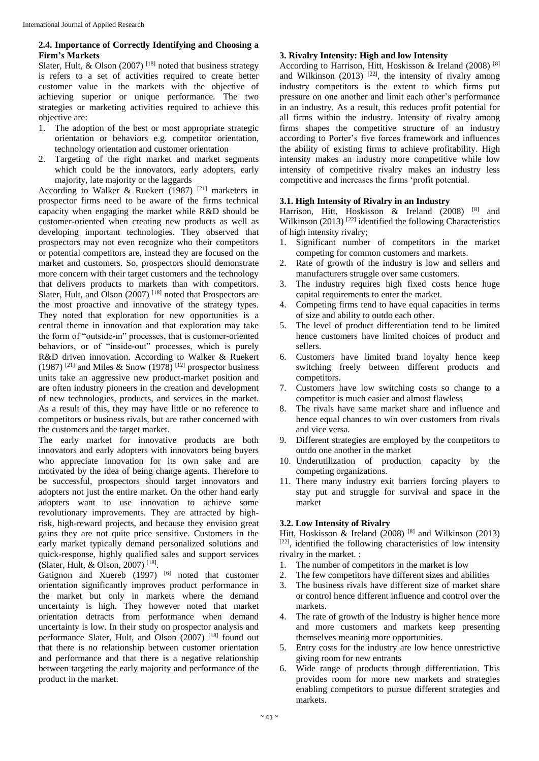### **2.4. Importance of Correctly Identifying and Choosing a Firm's Markets**

Slater, Hult, & Olson (2007)<sup>[18]</sup> noted that business strategy is refers to a set of activities required to create better customer value in the markets with the objective of achieving superior or unique performance. The two strategies or marketing activities required to achieve this objective are:

- 1. The adoption of the best or most appropriate strategic orientation or behaviors e.g. competitor orientation, technology orientation and customer orientation
- 2. Targeting of the right market and market segments which could be the innovators, early adopters, early majority, late majority or the laggards

According to Walker & Ruekert (1987) <sup>[21]</sup> marketers in prospector firms need to be aware of the firms technical capacity when engaging the market while R&D should be customer-oriented when creating new products as well as developing important technologies. They observed that prospectors may not even recognize who their competitors or potential competitors are, instead they are focused on the market and customers. So, prospectors should demonstrate more concern with their target customers and the technology that delivers products to markets than with competitors. Slater, Hult, and Olson (2007)<sup>[18]</sup> noted that Prospectors are the most proactive and innovative of the strategy types. They noted that exploration for new opportunities is a central theme in innovation and that exploration may take the form of "outside-in" processes, that is customer-oriented behaviors, or of "inside-out" processes, which is purely R&D driven innovation. According to Walker & Ruekert  $(1987)$ <sup>[21]</sup> and Miles & Snow (1978)<sup>[12]</sup> prospector business units take an aggressive new product-market position and are often industry pioneers in the creation and development of new technologies, products, and services in the market. As a result of this, they may have little or no reference to competitors or business rivals, but are rather concerned with the customers and the target market.

The early market for innovative products are both innovators and early adopters with innovators being buyers who appreciate innovation for its own sake and are motivated by the idea of being change agents. Therefore to be successful, prospectors should target innovators and adopters not just the entire market. On the other hand early adopters want to use innovation to achieve some revolutionary improvements. They are attracted by highrisk, high-reward projects, and because they envision great gains they are not quite price sensitive. Customers in the early market typically demand personalized solutions and quick-response, highly qualified sales and support services **(**Slater, Hult, & Olson, 2007) [18] .

Gatignon and Xuereb (1997) <sup>[6]</sup> noted that customer orientation significantly improves product performance in the market but only in markets where the demand uncertainty is high. They however noted that market orientation detracts from performance when demand uncertainty is low. In their study on prospector analysis and performance Slater, Hult, and Olson (2007)<sup>[18]</sup> found out that there is no relationship between customer orientation and performance and that there is a negative relationship between targeting the early majority and performance of the product in the market.

### **3. Rivalry Intensity: High and low Intensity**

According to Harrison, Hitt, Hoskisson & Ireland (2008) [8] and Wilkinson (2013)  $[22]$ , the intensity of rivalry among industry competitors is the extent to which firms put pressure on one another and limit each other's performance in an industry. As a result, this reduces profit potential for all firms within the industry. Intensity of rivalry among firms shapes the competitive structure of an industry according to Porter's five forces framework and influences the ability of existing firms to achieve profitability. High intensity makes an industry more competitive while low intensity of competitive rivalry makes an industry less competitive and increases the firms 'profit potential.

#### **3.1. High Intensity of Rivalry in an Industry**

Harrison, Hitt, Hoskisson & Ireland (2008) <sup>[8]</sup> and Wilkinson (2013)<sup>[22]</sup> identified the following Characteristics of high intensity rivalry;

- 1. Significant number of competitors in the market competing for common customers and markets.
- 2. Rate of growth of the industry is low and sellers and manufacturers struggle over same customers.
- 3. The industry requires high fixed costs hence huge capital requirements to enter the market.
- 4. Competing firms tend to have equal capacities in terms of size and ability to outdo each other.
- 5. The level of product differentiation tend to be limited hence customers have limited choices of product and sellers.
- 6. Customers have limited brand loyalty hence keep switching freely between different products and competitors.
- 7. Customers have low switching costs so change to a competitor is much easier and almost flawless
- 8. The rivals have same market share and influence and hence equal chances to win over customers from rivals and vice versa.
- 9. Different strategies are employed by the competitors to outdo one another in the market
- 10. Underutilization of production capacity by the competing organizations.
- 11. There many industry exit barriers forcing players to stay put and struggle for survival and space in the market

#### **3.2. Low Intensity of Rivalry**

Hitt, Hoskisson & Ireland (2008)<sup>[8]</sup> and Wilkinson (2013) [22], identified the following characteristics of low intensity rivalry in the market. :

- 1. The number of competitors in the market is low
- 2. The few competitors have different sizes and abilities
- 3. The business rivals have different size of market share or control hence different influence and control over the markets.
- 4. The rate of growth of the Industry is higher hence more and more customers and markets keep presenting themselves meaning more opportunities.
- 5. Entry costs for the industry are low hence unrestrictive giving room for new entrants
- 6. Wide range of products through differentiation. This provides room for more new markets and strategies enabling competitors to pursue different strategies and markets.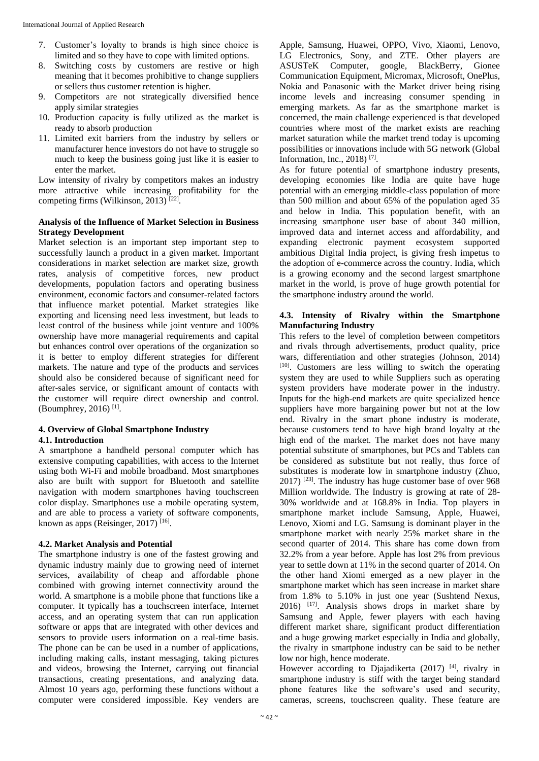- 7. Customer's loyalty to brands is high since choice is limited and so they have to cope with limited options.
- 8. Switching costs by customers are restive or high meaning that it becomes prohibitive to change suppliers or sellers thus customer retention is higher.
- 9. Competitors are not strategically diversified hence apply similar strategies
- 10. Production capacity is fully utilized as the market is ready to absorb production
- 11. Limited exit barriers from the industry by sellers or manufacturer hence investors do not have to struggle so much to keep the business going just like it is easier to enter the market.

Low intensity of rivalry by competitors makes an industry more attractive while increasing profitability for the competing firms (Wilkinson, 2013)<sup>[22]</sup>.

### **Analysis of the Influence of Market Selection in Business Strategy Development**

Market selection is an important step important step to successfully launch a product in a given market. Important considerations in market selection are market size, growth rates, analysis of competitive forces, new product developments, population factors and operating business environment, economic factors and consumer-related factors that influence market potential. Market strategies like exporting and licensing need less investment, but leads to least control of the business while joint venture and 100% ownership have more managerial requirements and capital but enhances control over operations of the organization so it is better to employ different strategies for different markets. The nature and type of the products and services should also be considered because of significant need for after-sales service, or significant amount of contacts with the customer will require direct ownership and control. (Boumphrey, 2016) [1] .

## **4. Overview of Global Smartphone Industry**

## **4.1. Introduction**

A smartphone a handheld personal computer which has extensive computing capabilities, with access to the Internet using both Wi-Fi and mobile broadband. Most smartphones also are built with support for Bluetooth and satellite navigation with modern smartphones having touchscreen color display. Smartphones use a mobile operating system, and are able to process a variety of software components, known as apps (Reisinger, 2017)<sup>[16]</sup>.

#### **4.2. Market Analysis and Potential**

The smartphone industry is one of the fastest growing and dynamic industry mainly due to growing need of internet services, availability of cheap and affordable phone combined with growing internet connectivity around the world. A smartphone is a mobile phone that functions like a computer. It typically has a touchscreen interface, Internet access, and an operating system that can run application software or apps that are integrated with other devices and sensors to provide users information on a real-time basis. The phone can be can be used in a number of applications, including making calls, instant messaging, taking pictures and videos, browsing the Internet, carrying out financial transactions, creating presentations, and analyzing data. Almost 10 years ago, performing these functions without a computer were considered impossible. Key venders are

Apple, Samsung, Huawei, OPPO, Vivo, Xiaomi, Lenovo, LG Electronics, Sony, and ZTE. Other players are ASUSTeK Computer, google, BlackBerry, Gionee Communication Equipment, Micromax, Microsoft, OnePlus, Nokia and Panasonic with the Market driver being rising income levels and increasing consumer spending in emerging markets. As far as the smartphone market is concerned, the main challenge experienced is that developed countries where most of the market exists are reaching market saturation while the market trend today is upcoming possibilities or innovations include with 5G network (Global Information, Inc., 2018) [7] .

As for future potential of smartphone industry presents, developing economies like India are quite have huge potential with an emerging middle-class population of more than 500 million and about 65% of the population aged 35 and below in India. This population benefit, with an increasing smartphone user base of about 340 million, improved data and internet access and affordability, and expanding electronic payment ecosystem supported ambitious Digital India project, is giving fresh impetus to the adoption of e-commerce across the country. India, which is a growing economy and the second largest smartphone market in the world, is prove of huge growth potential for the smartphone industry around the world.

#### **4.3. Intensity of Rivalry within the Smartphone Manufacturing Industry**

This refers to the level of completion between competitors and rivals through advertisements, product quality, price wars, differentiation and other strategies (Johnson, 2014) [10] . Customers are less willing to switch the operating system they are used to while Suppliers such as operating system providers have moderate power in the industry. Inputs for the high-end markets are quite specialized hence suppliers have more bargaining power but not at the low end. Rivalry in the smart phone industry is moderate, because customers tend to have high brand loyalty at the high end of the market. The market does not have many potential substitute of smartphones, but PCs and Tablets can be considered as substitute but not really, thus force of substitutes is moderate low in smartphone industry (Zhuo, 2017) [23] . The industry has huge customer base of over 968 Million worldwide. The Industry is growing at rate of 28- 30% worldwide and at 168.8% in India. Top players in smartphone market include Samsung, Apple, Huawei, Lenovo, Xiomi and LG. Samsung is dominant player in the smartphone market with nearly 25% market share in the second quarter of 2014. This share has come down from 32.2% from a year before. Apple has lost 2% from previous year to settle down at 11% in the second quarter of 2014. On the other hand Xiomi emerged as a new player in the smartphone market which has seen increase in market share from 1.8% to 5.10% in just one year (Sushtend Nexus, 2016) [17] . Analysis shows drops in market share by Samsung and Apple, fewer players with each having different market share, significant product differentiation and a huge growing market especially in India and globally, the rivalry in smartphone industry can be said to be nether low nor high, hence moderate.

However according to Djajadikerta (2017)<sup>[4]</sup>, rivalry in smartphone industry is stiff with the target being standard phone features like the software's used and security, cameras, screens, touchscreen quality. These feature are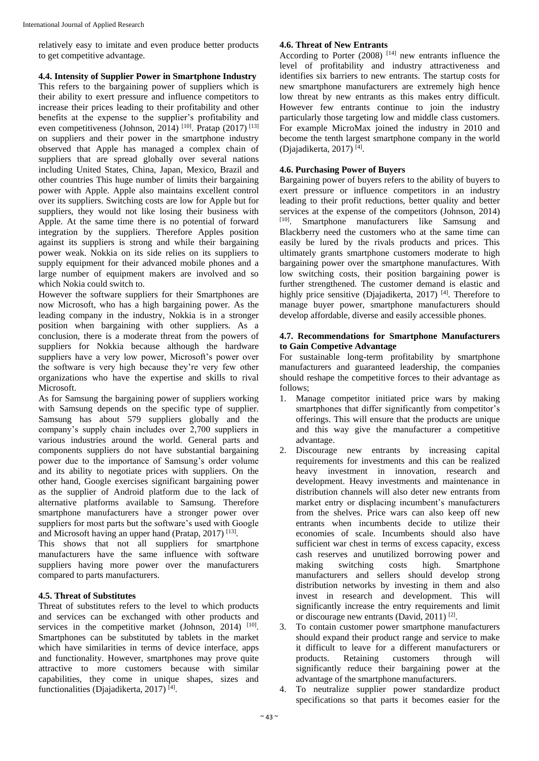relatively easy to imitate and even produce better products to get competitive advantage.

**4.4. Intensity of Supplier Power in Smartphone Industry** This refers to the bargaining power of suppliers which is their ability to exert pressure and influence competitors to increase their prices leading to their profitability and other benefits at the expense to the supplier's profitability and even competitiveness (Johnson, 2014)<sup>[10]</sup>. Pratap (2017)<sup>[13]</sup> on suppliers and their power in the smartphone industry observed that Apple has managed a complex chain of suppliers that are spread globally over several nations including United States, China, Japan, Mexico, Brazil and other countries This huge number of limits their bargaining power with Apple. Apple also maintains excellent control over its suppliers. Switching costs are low for Apple but for suppliers, they would not like losing their business with Apple. At the same time there is no potential of forward integration by the suppliers. Therefore Apples position against its suppliers is strong and while their bargaining power weak. Nokkia on its side relies on its suppliers to supply equipment for their advanced mobile phones and a large number of equipment makers are involved and so which Nokia could switch to.

However the software suppliers for their Smartphones are now Microsoft, who has a high bargaining power. As the leading company in the industry, Nokkia is in a stronger position when bargaining with other suppliers. As a conclusion, there is a moderate threat from the powers of suppliers for Nokkia because although the hardware suppliers have a very low power, Microsoft's power over the software is very high because they're very few other organizations who have the expertise and skills to rival Microsoft.

As for Samsung the bargaining power of suppliers working with Samsung depends on the specific type of supplier. Samsung has about 579 suppliers globally and the company's supply chain includes over 2,700 suppliers in various industries around the world. General parts and components suppliers do not have substantial bargaining power due to the importance of Samsung's order volume and its ability to negotiate prices with suppliers. On the other hand, Google exercises significant bargaining power as the supplier of Android platform due to the lack of alternative platforms available to Samsung. Therefore smartphone manufacturers have a stronger power over suppliers for most parts but the software's used with Google and Microsoft having an upper hand (Pratap, 2017)<sup>[13]</sup>.

This shows that not all suppliers for smartphone manufacturers have the same influence with software suppliers having more power over the manufacturers compared to parts manufacturers.

## **4.5. Threat of Substitutes**

Threat of substitutes refers to the level to which products and services can be exchanged with other products and services in the competitive market (Johnson, 2014)  $[10]$ . Smartphones can be substituted by tablets in the market which have similarities in terms of device interface, apps and functionality. However, smartphones may prove quite attractive to more customers because with similar capabilities, they come in unique shapes, sizes and functionalities (Djajadikerta, 2017)<sup>[4]</sup>.

### **4.6. Threat of New Entrants**

According to Porter  $(2008)$  [14] new entrants influence the level of profitability and industry attractiveness and identifies six barriers to new entrants. The startup costs for new smartphone manufacturers are extremely high hence low threat by new entrants as this makes entry difficult. However few entrants continue to join the industry particularly those targeting low and middle class customers. For example MicroMax joined the industry in 2010 and become the tenth largest smartphone company in the world (Djajadikerta, 2017) [4] .

#### **4.6. Purchasing Power of Buyers**

Bargaining power of buyers refers to the ability of buyers to exert pressure or influence competitors in an industry leading to their profit reductions, better quality and better services at the expense of the competitors (Johnson, 2014) [10]. Smartphone manufacturers like Samsung and Blackberry need the customers who at the same time can easily be lured by the rivals products and prices. This ultimately grants smartphone customers moderate to high bargaining power over the smartphone manufactures. With low switching costs, their position bargaining power is further strengthened. The customer demand is elastic and highly price sensitive (Djajadikerta, 2017)<sup>[4]</sup>. Therefore to manage buyer power, smartphone manufacturers should develop affordable, diverse and easily accessible phones.

#### **4.7. Recommendations for Smartphone Manufacturers to Gain Competive Advantage**

For sustainable long-term profitability by smartphone manufacturers and guaranteed leadership, the companies should reshape the competitive forces to their advantage as follows;

- 1. Manage competitor initiated price wars by making smartphones that differ significantly from competitor's offerings. This will ensure that the products are unique and this way give the manufacturer a competitive advantage.
- 2. Discourage new entrants by increasing capital requirements for investments and this can be realized heavy investment in innovation, research and development. Heavy investments and maintenance in distribution channels will also deter new entrants from market entry or displacing incumbent's manufacturers from the shelves. Price wars can also keep off new entrants when incumbents decide to utilize their economies of scale. Incumbents should also have sufficient war chest in terms of excess capacity, excess cash reserves and unutilized borrowing power and making switching costs high. Smartphone manufacturers and sellers should develop strong distribution networks by investing in them and also invest in research and development. This will significantly increase the entry requirements and limit or discourage new entrants (David, 2011)<sup>[2]</sup>.
- 3. To contain customer power smartphone manufacturers should expand their product range and service to make it difficult to leave for a different manufacturers or products. Retaining customers through will significantly reduce their bargaining power at the advantage of the smartphone manufacturers.
- 4. To neutralize supplier power standardize product specifications so that parts it becomes easier for the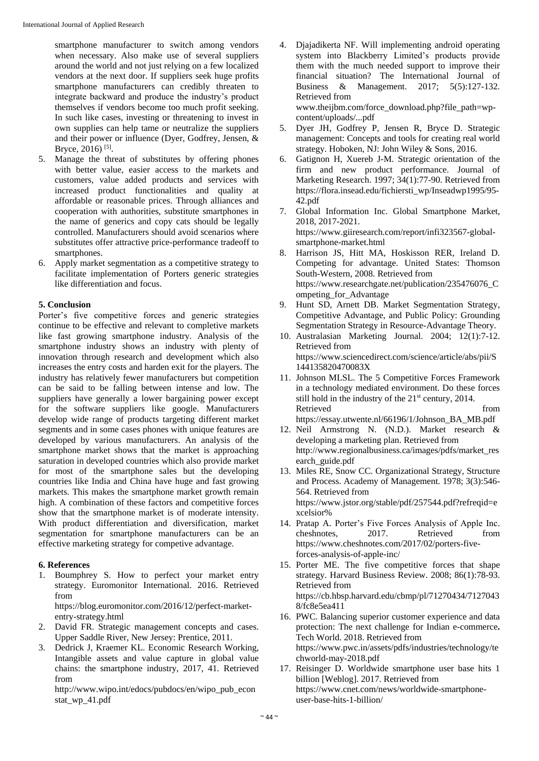smartphone manufacturer to switch among vendors when necessary. Also make use of several suppliers around the world and not just relying on a few localized vendors at the next door. If suppliers seek huge profits smartphone manufacturers can credibly threaten to integrate backward and produce the industry's product themselves if vendors become too much profit seeking. In such like cases, investing or threatening to invest in own supplies can help tame or neutralize the suppliers and their power or influence (Dyer, Godfrey, Jensen, & Bryce, 2016)<sup>[5]</sup>.

- 5. Manage the threat of substitutes by offering phones with better value, easier access to the markets and customers, value added products and services with increased product functionalities and quality at affordable or reasonable prices. Through alliances and cooperation with authorities, substitute smartphones in the name of generics and copy cats should be legally controlled. Manufacturers should avoid scenarios where substitutes offer attractive price-performance tradeoff to smartphones.
- 6. Apply market segmentation as a competitive strategy to facilitate implementation of Porters generic strategies like differentiation and focus.

#### **5. Conclusion**

Porter's five competitive forces and generic strategies continue to be effective and relevant to completive markets like fast growing smartphone industry. Analysis of the smartphone industry shows an industry with plenty of innovation through research and development which also increases the entry costs and harden exit for the players. The industry has relatively fewer manufacturers but competition can be said to be falling between intense and low. The suppliers have generally a lower bargaining power except for the software suppliers like google. Manufacturers develop wide range of products targeting different market segments and in some cases phones with unique features are developed by various manufacturers. An analysis of the smartphone market shows that the market is approaching saturation in developed countries which also provide market for most of the smartphone sales but the developing countries like India and China have huge and fast growing markets. This makes the smartphone market growth remain high. A combination of these factors and competitive forces show that the smartphone market is of moderate intensity. With product differentiation and diversification, market segmentation for smartphone manufacturers can be an effective marketing strategy for competive advantage.

#### **6. References**

- 1. Boumphrey S. How to perfect your market entry strategy. Euromonitor International. 2016. Retrieved from https://blog.euromonitor.com/2016/12/perfect-market-
- entry-strategy.html 2. David FR. Strategic management concepts and cases. Upper Saddle River, New Jersey: Prentice, 2011.
- 3. Dedrick J, Kraemer KL. Economic Research Working, Intangible assets and value capture in global value chains: the smartphone industry, 2017, 41. Retrieved from

http://www.wipo.int/edocs/pubdocs/en/wipo\_pub\_econ stat\_wp\_41.pdf

- 4. Djajadikerta NF. Will implementing android operating system into Blackberry Limited's products provide them with the much needed support to improve their financial situation? The International Journal of Business & Management. 2017; 5(5):127-132. Retrieved from www.theijbm.com/force\_download.php?file\_path=wpcontent/uploads/...pdf
- 5. Dyer JH, Godfrey P, Jensen R, Bryce D. Strategic management: Concepts and tools for creating real world strategy. Hoboken, NJ: John Wiley & Sons, 2016.
- 6. Gatignon H, Xuereb J-M. Strategic orientation of the firm and new product performance. Journal of Marketing Research. 1997; 34(1):77-90. Retrieved from https://flora.insead.edu/fichiersti\_wp/Inseadwp1995/95- 42.pdf
- 7. Global Information Inc. Global Smartphone Market, 2018, 2017-2021. https://www.giiresearch.com/report/infi323567-globalsmartphone-market.html
- 8. Harrison JS, Hitt MA, Hoskisson RER, Ireland D. Competing for advantage. United States: Thomson South-Western, 2008. Retrieved from https://www.researchgate.net/publication/235476076\_C ompeting\_for\_Advantage
- 9. Hunt SD, Arnett DB. Market Segmentation Strategy, Competitive Advantage, and Public Policy: Grounding Segmentation Strategy in Resource-Advantage Theory.
- 10. Australasian Marketing Journal. 2004; 12(1):7-12. Retrieved from https://www.sciencedirect.com/science/article/abs/pii/S 144135820470083X
- 11. Johnson MLSL. The 5 Competitive Forces Framework in a technology mediated environment. Do these forces still hold in the industry of the  $21<sup>st</sup>$  century, 2014. Retrieved from the state of  $\sim$ https://essay.utwente.nl/66196/1/Johnson\_BA\_MB.pdf
- 12. Neil Armstrong N. (N.D.). Market research & developing a marketing plan. Retrieved from http://www.regionalbusiness.ca/images/pdfs/market\_res earch\_guide.pdf
- 13. Miles RE, Snow CC. Organizational Strategy, Structure and Process. Academy of Management. 1978; 3(3):546- 564. Retrieved from https://www.jstor.org/stable/pdf/257544.pdf?refreqid=e xcelsior%
- 14. Pratap A. Porter's Five Forces Analysis of Apple Inc.<br>cheshnotes, 2017. Retrieved from cheshnotes. 2017. Retrieved from https://www.cheshnotes.com/2017/02/porters-fiveforces-analysis-of-apple-inc/
- 15. Porter ME. The five competitive forces that shape strategy. Harvard Business Review. 2008; 86(1):78-93. Retrieved from https://cb.hbsp.harvard.edu/cbmp/pl/71270434/7127043 8/fc8e5ea411
- 16. PWC. Balancing superior customer experience and data protection: The next challenge for Indian e-commerce**.** Tech World. 2018. Retrieved from https://www.pwc.in/assets/pdfs/industries/technology/te chworld-may-2018.pdf
- 17. Reisinger D. Worldwide smartphone user base hits 1 billion [Weblog]. 2017. Retrieved from https://www.cnet.com/news/worldwide-smartphoneuser-base-hits-1-billion/